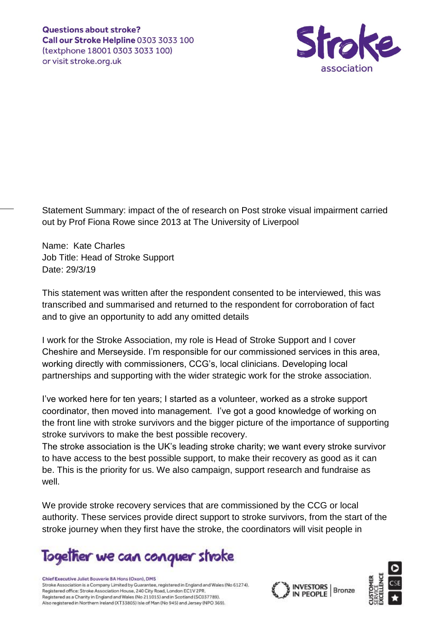

Statement Summary: impact of the of research on Post stroke visual impairment carried out by Prof Fiona Rowe since 2013 at The University of Liverpool

Name: Kate Charles Job Title: Head of Stroke Support Date: 29/3/19

This statement was written after the respondent consented to be interviewed, this was transcribed and summarised and returned to the respondent for corroboration of fact and to give an opportunity to add any omitted details

I work for the Stroke Association, my role is Head of Stroke Support and I cover Cheshire and Merseyside. I'm responsible for our commissioned services in this area, working directly with commissioners, CCG's, local clinicians. Developing local partnerships and supporting with the wider strategic work for the stroke association.

I've worked here for ten years; I started as a volunteer, worked as a stroke support coordinator, then moved into management. I've got a good knowledge of working on the front line with stroke survivors and the bigger picture of the importance of supporting stroke survivors to make the best possible recovery.

The stroke association is the UK's leading stroke charity; we want every stroke survivor to have access to the best possible support, to make their recovery as good as it can be. This is the priority for us. We also campaign, support research and fundraise as well.

We provide stroke recovery services that are commissioned by the CCG or local authority. These services provide direct support to stroke survivors, from the start of the stroke journey when they first have the stroke, the coordinators will visit people in

Together we can conquer stroke

Chief Executive Juliet Bouverie BA Hons (Oxon), DMS Stroke Association is a Company Limited by Guarantee, registered in England and Wales (No 61274). Registered office: Stroke Association House, 240 City Road, London EC1V 2PR. Registered as a Charity in England and Wales (No 211015) and in Scotland (SC037789). Also registered in Northern Ireland (XT33805) Isle of Man (No 945) and Jersey (NPO 369).



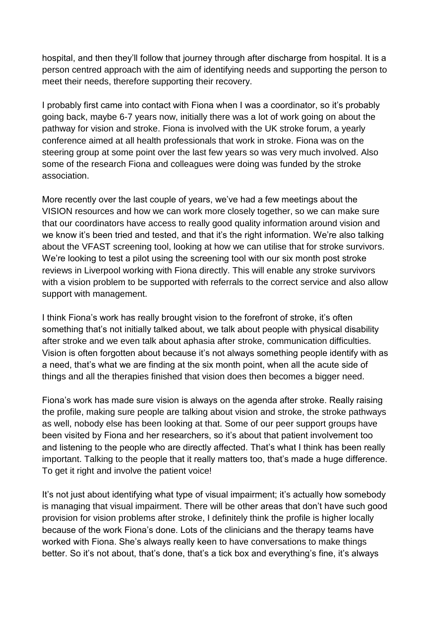hospital, and then they'll follow that journey through after discharge from hospital. It is a person centred approach with the aim of identifying needs and supporting the person to meet their needs, therefore supporting their recovery.

I probably first came into contact with Fiona when I was a coordinator, so it's probably going back, maybe 6-7 years now, initially there was a lot of work going on about the pathway for vision and stroke. Fiona is involved with the UK stroke forum, a yearly conference aimed at all health professionals that work in stroke. Fiona was on the steering group at some point over the last few years so was very much involved. Also some of the research Fiona and colleagues were doing was funded by the stroke association.

More recently over the last couple of years, we've had a few meetings about the VISION resources and how we can work more closely together, so we can make sure that our coordinators have access to really good quality information around vision and we know it's been tried and tested, and that it's the right information. We're also talking about the VFAST screening tool, looking at how we can utilise that for stroke survivors. We're looking to test a pilot using the screening tool with our six month post stroke reviews in Liverpool working with Fiona directly. This will enable any stroke survivors with a vision problem to be supported with referrals to the correct service and also allow support with management.

I think Fiona's work has really brought vision to the forefront of stroke, it's often something that's not initially talked about, we talk about people with physical disability after stroke and we even talk about aphasia after stroke, communication difficulties. Vision is often forgotten about because it's not always something people identify with as a need, that's what we are finding at the six month point, when all the acute side of things and all the therapies finished that vision does then becomes a bigger need.

Fiona's work has made sure vision is always on the agenda after stroke. Really raising the profile, making sure people are talking about vision and stroke, the stroke pathways as well, nobody else has been looking at that. Some of our peer support groups have been visited by Fiona and her researchers, so it's about that patient involvement too and listening to the people who are directly affected. That's what I think has been really important. Talking to the people that it really matters too, that's made a huge difference. To get it right and involve the patient voice!

It's not just about identifying what type of visual impairment; it's actually how somebody is managing that visual impairment. There will be other areas that don't have such good provision for vision problems after stroke, I definitely think the profile is higher locally because of the work Fiona's done. Lots of the clinicians and the therapy teams have worked with Fiona. She's always really keen to have conversations to make things better. So it's not about, that's done, that's a tick box and everything's fine, it's always